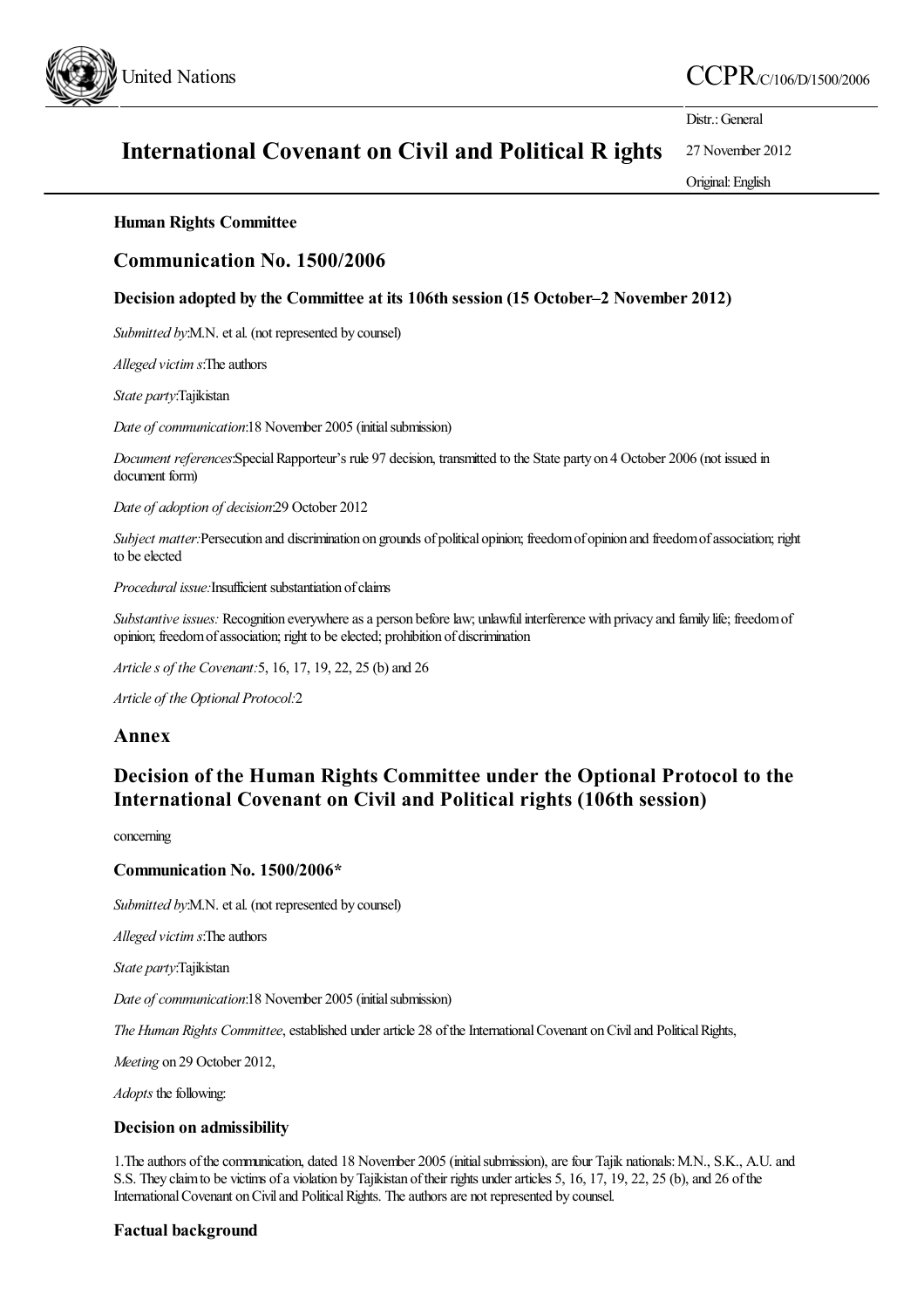

## United Nations  $CCPR_{C/106/D/1500/2006}$

Distr.: General

# International Covenant on Civil and Political R ights

27 November 2012 Original:English

## Human Rights Committee

## Communication No. 1500/2006

### Decision adopted by the Committee at its 106th session (15 October–2 November 2012)

*Submitted by:M.N.* et al. (not represented by counsel)

*Alleged victim s*:The authors

*State party*:Tajikistan

*Date of communication*:18 November 2005 (initialsubmission)

*Document references*:SpecialRapporteur's rule 97 decision, transmitted to the State party on 4 October 2006 (not issued in document form)

*Date of adoption of decision*:29 October 2012

*Subject matter:*Persecution and discrimination on grounds of political opinion; freedomof opinion and freedomofassociation; right to be elected

*Procedural issue:* Insufficient substantiation of claims

*Substantive issues:* Recognition everywhere as a person before law; unlawful interference with privacy and family life; freedom of opinion; freedom of association; right to be elected; prohibition of discrimination

*Articles of the Covenant:*5, 16, 17, 19, 22, 25 (b)and 26

*Article of the Optional Protocol:*2

## Annex

## Decision of the Human Rights Committee under the Optional Protocol to the International Covenant on Civil and Political rights (106th session)

concerning

#### Communication No. 1500/2006\*

Submitted by:M.N. et al. (not represented by counsel)

*Alleged victim s*:The authors

*State party*:Tajikistan

*Date of communication*:18 November 2005 (initial submission)

*The Human Rights Committee*, established under article 28 of the International Covenant on Civil and Political Rights,

*Meeting* on 29 October 2012,

*Adopts* the following:

#### Decision on admissibility

1. The authors of the communication, dated 18 November 2005 (initial submission), are four Tajik nationals: M.N., S.K., A.U. and S.S. They claim to be victims of a violation by Tajikistan of their rights under articles 5, 16, 17, 19, 22, 25 (b), and 26 of the International Covenant on Civil and Political Rights. The authors are not represented by counsel.

## Factual background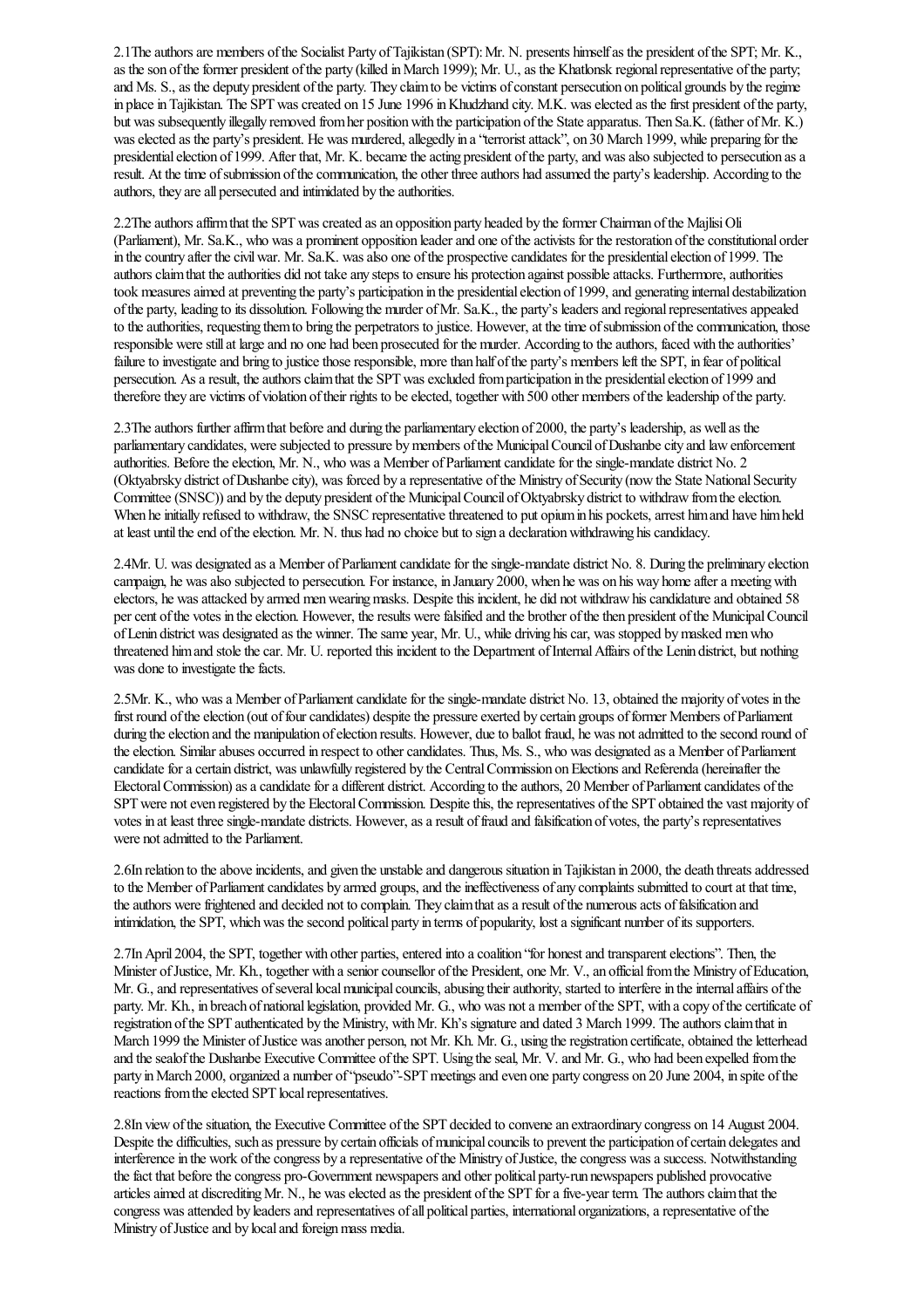2.1The authors are members of the Socialist Party of Tajikistan (SPT): Mr. N. presents himself as the president of the SPT; Mr. K., as the son of the former president of the party (killed in March 1999); Mr. U., as the Khatlonsk regional representative of the party; and Ms. S., as the deputy president of the party. They claim to be victims of constant persecution on political grounds by the regime in place in Tajikistan. The SPT was created on 15 June 1996 in Khudzhand city. M.K. was elected as the first president of the party, but was subsequently illegally removed from her position with the participation of the State apparatus. Then Sa.K. (father of Mr. K.) was elected as the party's president. He was murdered, allegedly in a "terrorist attack", on 30 March 1999, while preparing for the presidential election of 1999. After that, Mr. K. became the acting president of the party, and was also subjected to persecution as a result. At the time of submission of the communication, the other three authors had assumed the party's leadership. According to the authors, they are all persecuted and intimidated by the authorities.

2.2The authors affirm that the SPT was created as an opposition party headed by the former Chairman of the MajlisiOli (Parliament), Mr. Sa.K., who was a prominent opposition leader and one of the activists for the restoration of the constitutional order in the country after the civil war. Mr. Sa.K. was also one of the prospective candidates for the presidential election of 1999. The authors claim that the authorities did not take any steps to ensure his protection against possible attacks. Furthermore, authorities took measures aimed at preventing the party's participation in the presidential election of 1999, and generating internal destabilization ofthe party, leading to its dissolution. Following the murder ofMr. Sa.K., the party's leadersand regionalrepresentativesappealed to the authorities, requesting them to bring the perpetrators to justice. However, at the time of submission of the communication, those responsible were still at large and no one had been prosecuted for the murder. According to the authors, faced with the authorities' failure to investigate and bring to justice those responsible, more than half of the party's members left the SPT, in fear of political persecution. As a result, the authors claim that the SPT was excluded from participation in the presidential election of 1999 and therefore they are victims of violation of their rights to be elected, together with 500 other members of the leadership of the party.

2.3The authors further affirm that before and during the parliamentary election of 2000, the party's leadership, as well as the parliamentary candidates, were subjected to pressure by members of the Municipal Council of Dushanbe city and law enforcement authorities. Before the election, Mr. N., who was a Member of Parliament candidate for the single-mandate district No. 2 (Oktyabrsky district of Dushanbe city), was forced by a representative of the Ministry of Security (now the State National Security Committee (SNSC)) and by the deputy president of the Municipal Council of Oktyabrsky district to withdraw from the election. When he initially refused to withdraw, the SNSC representative threatened to put opium in his pockets, arrest him and have him held at least until the end of the election. Mr. N. thus had no choice but to sign a declaration withdrawing his candidacy.

2.4Mr. U. was designated as a Member of Parliament candidate for the single-mandate district No. 8. During the preliminary election campaign, he was also subjected to persecution. For instance, in January 2000, when he was on his way home after a meeting with electors, he was attacked by armed men wearing masks. Despite this incident, he did not withdraw his candidature and obtained 58 per cent of the votes in the election. However, the results were falsified and the brother of the then president of the Municipal Council ofLenin district was designated as the winner. Thesame year, Mr. U., while driving hiscar, was stopped bymasked menwho threatened himand stolethecar. Mr. U. reported this incident to the Department ofInternalAffairs ofthe Lenin district, but nothing was done to investigate the facts.

2.5Mr. K., who was a Member of Parliament candidate for the single-mandate district No. 13, obtained the majority of votes in the first round of the election (out of four candidates) despite the pressure exerted by certain groups of former Members of Parliament during the election and the manipulation of election results. However, due to ballot fraud, he was not admitted to the second round of the election. Similar abuses occurred in respect to other candidates. Thus, Ms. S., who was designated as a Member of Parliament candidate for a certain district, was unlawfully registered by the Central Commission on Elections and Referenda (hereinafter the Electoral Commission) as a candidate for a different district. According to the authors, 20 Member of Parliament candidates of the SPT were not even registered by the Electoral Commission. Despite this, the representatives of the SPT obtained the vast majority of votes in at least three single-mandate districts. However, as a result of fraud and falsification of votes, the party's representatives were not admitted to the Parliament.

2.6In relation to the above incidents, and given the unstable and dangerous situation in Tajikistan in 2000, the death threats addressed to the Member of Parliament candidates by armed groups, and the ineffectiveness of any complaints submitted to court at that time, the authors were frightened and decided not to complain. They claim that as a result of the numerous acts of falsification and intimidation, the SPT, whichwas thesecond political party in terms of popularity, lostasignificant number ofits supporters.

2.7In April 2004, the SPT, together with other parties, entered into a coalition "for honest and transparent elections". Then, the Minister of Justice, Mr. Kh., together with a senior counsellor of the President, one Mr. V., an official from the Ministry of Education, Mr. G., and representatives of several local municipal councils, abusing their authority, started to interfere in the internal affairs of the party. Mr. Kh., in breach of national legislation, provided Mr. G., who was not a member of the SPT, with a copy of the certificate of registration of the SPT authenticated by the Ministry, with Mr. Kh's signature and dated 3 March 1999. The authors claim that in March 1999 the Minister of Justice was another person, not Mr. Kh. Mr. G., using the registration certificate, obtained the letterhead and the sealof the Dushanbe Executive Committee of the SPT. Using the seal, Mr. V. and Mr. G., who had been expelled from the party in March 2000, organized a number of "pseudo"-SPT meetings and even one party congress on 20 June 2004, in spite of the reactions from the elected SPT local representatives.

2.8In viewofthesituation, the Executive Committee ofthe SPT decided to convenean extraordinary congress on 14 August 2004. Despite the difficulties, such as pressure by certain officials of municipal councils to prevent the participation of certain delegates and interference in the work of the congress by a representative of the Ministry of Justice, the congress was a success. Notwithstanding the fact that before the congress pro-Government newspapers and other political party-run newspapers published provocative articles aimed at discrediting Mr. N., he was elected as the president of the SPT for a five-year term. The authors claim that the congress was attended by leaders and representatives of all political parties, international organizations, a representative of the Ministry of Justice and by local and foreign mass media.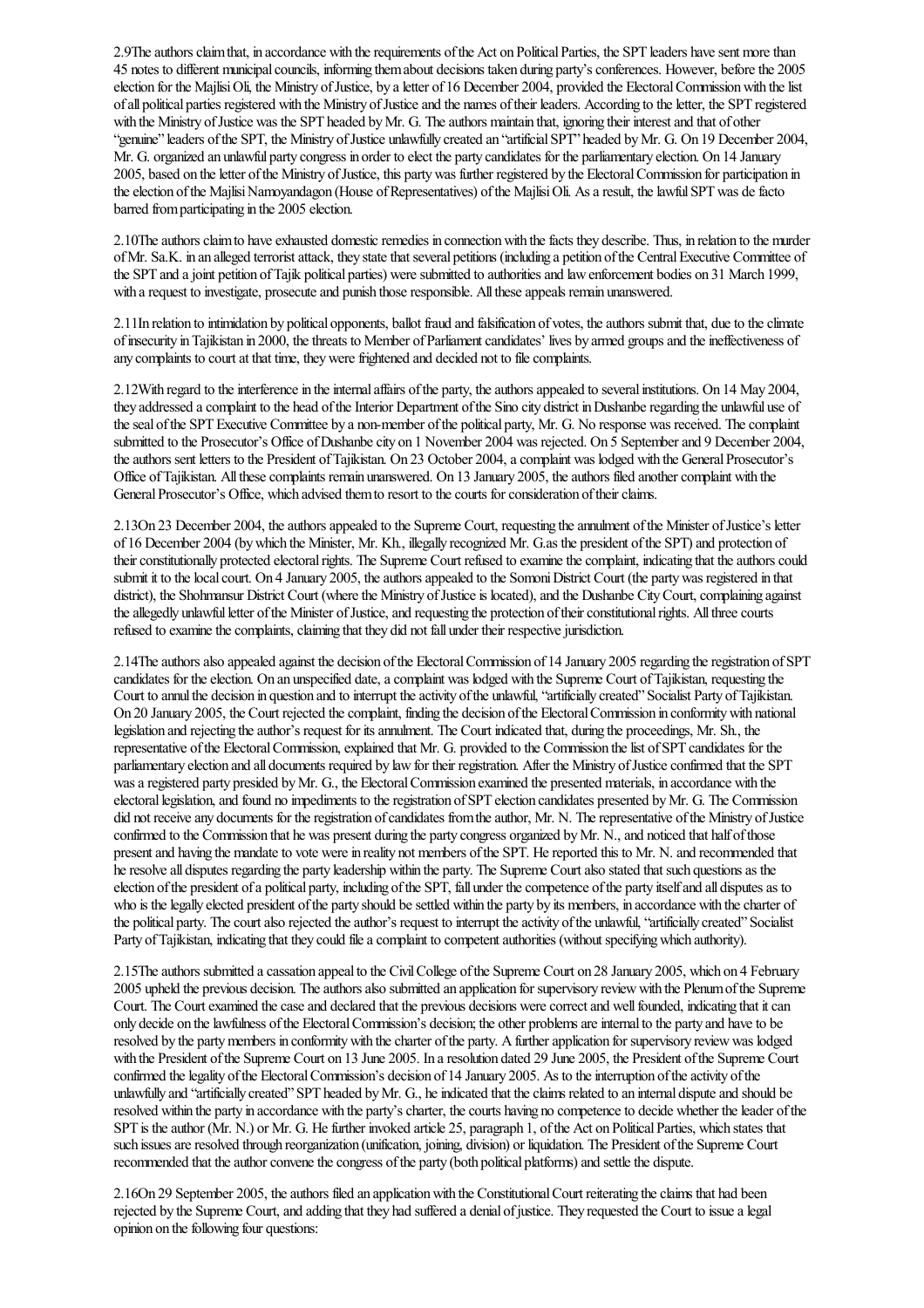2.9The authors claim that, in accordance with the requirements of the Act on Political Parties, the SPT leaders have sent more than 45 notes to differentmunicipalcouncils, informing themabout decisions taken during party'sconferences. However, beforethe 2005 election for the Majlisi Oli, the Ministry of Justice, by a letter of 16 December 2004, provided the Electoral Commission with the list ofall political parties registered with the Ministry ofJusticeand the names oftheir leaders. According to theletter, the SPT registered with the Ministry of Justice was the SPT headed by Mr. G. The authors maintain that, ignoring their interest and that of other "genuine" leaders of the SPT, the Ministry of Justice unlawfully created an "artificial SPT" headed by Mr. G. On 19 December 2004, Mr. G. organized an unlawful party congress in order to elect the party candidates for the parliamentary election. On 14 January 2005, based on the letter of the Ministry of Justice, this party was further registered by the Electoral Commission for participation in the election of the Majlisi Namoyandagon (House of Representatives) of the Majlisi Oli. As a result, the lawful SPT was de facto barred fromparticipating in the 2005 election.

2.10The authors claim to have exhausted domestic remedies in connection with the facts they describe. Thus, in relation to the murder of Mr. Sa.K. in an alleged terrorist attack, they state that several petitions (including a petition of the Central Executive Committee of the SPT and a joint petition of Tajik political parties) were submitted to authorities and law enforcement bodies on 31 March 1999, with a request to investigate, prosecute and punish those responsible. All these appeals remain unanswered.

2.11In relation to intimidation by political opponents, ballot fraud and falsification of votes, theauthors submit that, dueto theclimate of insecurity in Tajikistan in 2000, the threats to Member of Parliament candidates' lives by armed groups and the ineffectiveness of any complaints to court at that time, they were frightened and decided not to file complaints.

2.12With regard to the interference in the internal affairs of the party, the authors appealed to several institutions. On 14 May 2004, they addressed a complaint to the head of the Interior Department of the Sino city district in Dushanberegarding the unlawful use of the seal of the SPT Executive Committee by a non-member of the political party, Mr. G. No response was received. The complaint submitted to the Prosecutor's Office of Dushanbe city on 1 November 2004 was rejected. On 5 September and 9 December 2004, the authors sent letters to the President of Tajikistan. On 23 October 2004, a complaint was lodged with the General Prosecutor's Office of Tajikistan. All these complaints remain unanswered. On 13 January 2005, the authors filed another complaint with the General Prosecutor's Office, which advised them to resort to the courts for consideration of their claims.

2.13On 23 December 2004, the authors appealed to the Supreme Court, requesting the annulment of the Minister of Justice's letter of 16 December 2004 (bywhich the Minister, Mr. Kh., illegally recognized Mr. G.as the president ofthe SPT)and protection of their constitutionally protected electoral rights. The Supreme Court refused to examine the complaint, indicating that the authors could submit it to the local court. On 4 January 2005, the authors appealed to the Somoni District Court (the party was registered in that district), the Shohmansur District Court (where the Ministry of Justice is located), and the Dushanbe City Court, complaining against the allegedly unlawful letter of the Minister of Justice, and requesting the protection of their constitutional rights. All three courts refused to examine the complaints, claiming that they did not fall under their respective jurisdiction.

2.14The authors also appealed against the decision of the Electoral Commission of 14 January 2005 regarding the registration of SPT candidates for the election. On an unspecified date, a complaint was lodged with the Supreme Court of Tajikistan, requesting the Court to annul the decision in question and to interrupt the activity of the unlawful, "artificially created" Socialist Party of Tajikistan. On 20 January 2005, the Court rejected the complaint, finding the decision of the Electoral Commission in conformity with national legislation and rejecting the author's request for its annulment. The Court indicated that, during the proceedings, Mr. Sh., the representative of the Electoral Commission, explained that Mr. G. provided to the Commission the list of SPT candidates for the parliamentary election and all documents required by law for their registration. After the Ministry of Justice confirmed that the SPT was a registered party presided by Mr. G., the Electoral Commission examined the presented materials, in accordance with the electorallegislation,and found no impediments to theregistration ofSPT election candidates presented byMr. G. The Commission did not receive any documents for the registration of candidates from the author, Mr. N. The representative of the Ministry of Justice confirmed to the Commission that he was present during the party congress organized by Mr. N., and noticed that half of those present and having the mandate to vote were in reality not members of the SPT. He reported this to Mr. N. and recommended that he resolve all disputes regarding the party leadership within the party. The Supreme Court also stated that such questions as the election of the president of a political party, including of the SPT, fall under the competence of the party itself and all disputes as to who is the legally elected president of the party should be settled within the party by its members, in accordance with the charter of the political party. The court also rejected the author's request to interrupt the activity of the unlawful, "artificially created" Socialist Party of Tajikistan, indicating that they could file a complaint to competent authorities (without specifying which authority).

2.15Theauthors submitted acassation appealto the CivilCollege ofthe Supreme Court on 28 January 2005, which on 4 February 2005 upheld the previous decision. Theauthorsalso submitted an application for supervisory reviewwith the Plenumofthe Supreme Court. The Court examined the case and declared that the previous decisions were correct and well founded, indicating that it can only decide on the lawfulness of the Electoral Commission's decision; the other problems are internal to the party and have to be resolved by the party members in conformity with the charter of the party. A further application for supervisory review was lodged with the President ofthe Supreme Court on 13 June 2005. In aresolution dated 29 June 2005, the President ofthe Supreme Court confirmed the legality of the Electoral Commission's decision of 14 January 2005. As to the interruption of the activity of the unlawfully and "artificially created" SPT headed by Mr. G., he indicated that the claims related to an internal dispute and should be resolved within the party in accordance with the party's charter, the courts having no competence to decide whether the leader of the SPT is the author (Mr. N.) or Mr. G. He further invoked article 25, paragraph 1, of the Act on Political Parties, which states that such issues are resolved through reorganization (unification, joining, division) or liquidation. The President of the Supreme Court recommended that the author convene the congress of the party (both political platforms) and settle the dispute.

2.16On 29 September 2005, the authors filed an application with the Constitutional Court reiterating the claims that had been rejected by the Supreme Court, and adding that they had suffered a denial of justice. They requested the Court to issue a legal opinion on the following four questions: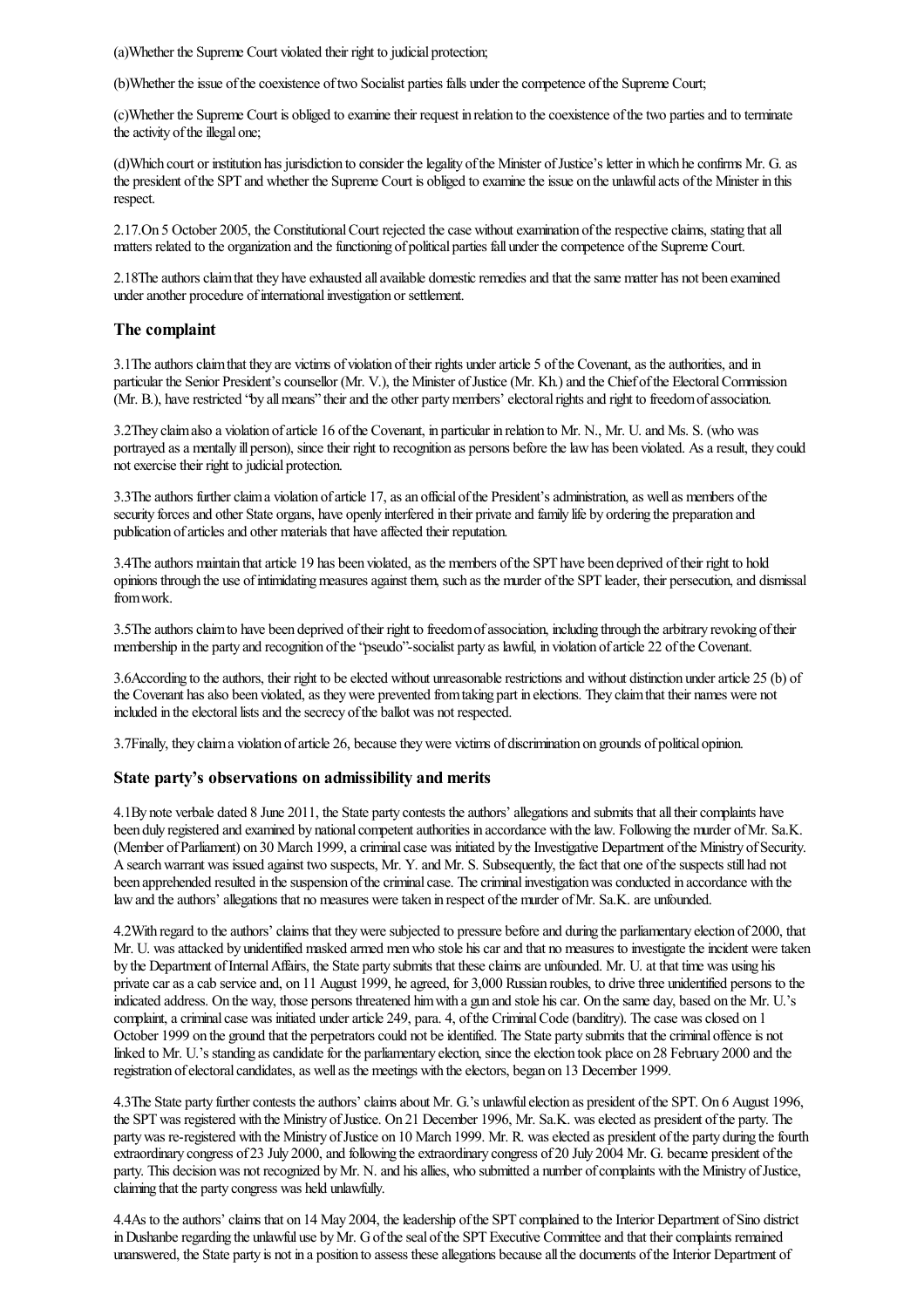(a)Whether the Supreme Court violated their right to judicial protection;

(b)Whether the issue of the coexistence of two Socialist parties falls under the competence of the Supreme Court;

(c)Whether the Supreme Court is obliged to examine their request in relation to the coexistence of the two parties and to terminate the activity of the illegal one;

(d)Which court or institution has jurisdiction to consider thelegality ofthe Minister ofJustice's letter inwhich heconfirms Mr. G.as the president of the SPT and whether the Supreme Court is obliged to examine the issue on the unlawful acts of the Minister in this respect.

2.17.On 5 October 2005, the Constitutional Court rejected the case without examination of the respective claims, stating that all matters related to the organization and the functioning of political parties fall under the competence of the Supreme Court.

2.18The authors claim that they have exhausted all available domestic remedies and that the same matter has not been examined under another procedure of international investigation or settlement.

#### The complaint

3.1 The authors claim that they are victims of violation of their rights under article 5 of the Covenant, as the authorities, and in particular the Senior President's counsellor (Mr. V.), the Minister of Justice (Mr. Kh.) and the Chief of the Electoral Commission (Mr. B.), have restricted "by all means" their and the other party members' electoral rights and right to freedom of association.

3.2They claimalso a violation ofarticle 16 ofthe Covenant, in particular in relation to Mr. N., Mr. U.and Ms. S. (who was portrayed as a mentally ill person), since their right to recognition as persons before the law has been violated. As a result, they could not exercise their right to judicial protection.

3.3The authors further claim a violation of article 17, as an official of the President's administration, as well as members of the security forces and other State organs, have openly interfered in their private and family life by ordering the preparation and publication of articles and other materials that have affected their reputation.

3.4The authors maintain that article 19 has been violated, as the members of the SPT have been deprived of their right to hold opinions through the use of intimidating measures against them, such as the murder of the SPT leader, their persecution, and dismissal fromwork.

3.5The authors claim to have been deprived of their right to freedom of association, including through the arbitrary revoking of their membership in the party and recognition ofthe"pseudo"-socialist party as lawful, in violation ofarticle 22 ofthe Covenant.

3.6According to the authors, their right to be elected without unreasonable restrictions and without distinction under article 25 (b) of the Covenant has also been violated, as they were prevented from taking part in elections. They claim that their names were not included in the electoral lists and the secrecy of the ballot was not respected.

3.7Finally, they claima violation ofarticle 26, becausetheywere victims of discrimination on grounds of political opinion.

#### State party's observations on admissibility and merits

4.1By note verbale dated 8 June 2011, the State party contests the authors' allegations and submits that all their complaints have been duly registered and examined by national competent authorities in accordance with the law. Following the murder of Mr. Sa.K. (Member of Parliament) on 30 March 1999, a criminal case was initiated by the Investigative Department of the Ministry of Security. A search warrant was issued against two suspects, Mr. Y. and Mr. S. Subsequently, the fact that one of the suspects still had not been apprehended resulted in the suspension of the criminal case. The criminal investigation was conducted in accordance with the law and the authors' allegations that no measures were taken in respect of the murder of Mr. Sa.K. are unfounded.

4.2With regard to the authors' claims that they were subjected to pressure before and during the parliamentary election of 2000, that Mr. U. was attacked by unidentified masked armed men who stole his car and that no measures to investigate the incident were taken by the Department of Internal Affairs, the State party submits that these claims are unfounded. Mr. U. at that time was using his private car as a cab service and, on 11 August 1999, he agreed, for 3,000 Russian roubles, to drive three unidentified persons to the indicated address. On the way, those persons threatened himwith a gun and stole hiscar. On thesame day, based on the Mr. U.'s complaint, a criminal case was initiated under article 249, para. 4, of the Criminal Code (banditry). The case was closed on 1 October 1999 on the ground that the perpetrators could not be identified. The State party submits that the criminal offence is not linked to Mr. U.'s standing as candidate for the parliamentary election, since the election took place on 28 February 2000 and the registration of electoral candidates, as well as the meetings with the electors, began on 13 December 1999.

4.3The State party further contests the authors' claims about Mr. G.'s unlawful election as president of the SPT. On 6 August 1996, the SPT was registered with the Ministry of Justice. On 21 December 1996, Mr. Sa.K. was elected as president of the party. The party was re-registered with the Ministry of Justice on 10 March 1999. Mr. R. was elected as president of the party during the fourth extraordinary congress of 23 July 2000, and following the extraordinary congress of 20 July 2004 Mr. G. became president of the party. This decision was not recognized by Mr. N. and his allies, who submitted a number of complaints with the Ministry of Justice, claiming that the party congress was held unlawfully.

4.4As to the authors' claims that on 14 May 2004, the leadership of the SPT complained to the Interior Department of Sino district in Dushanbe regarding the unlawful use by Mr. G of the seal of the SPT Executive Committee and that their complaints remained unanswered, the State party is not in a position to assess these allegations because all the documents of the Interior Department of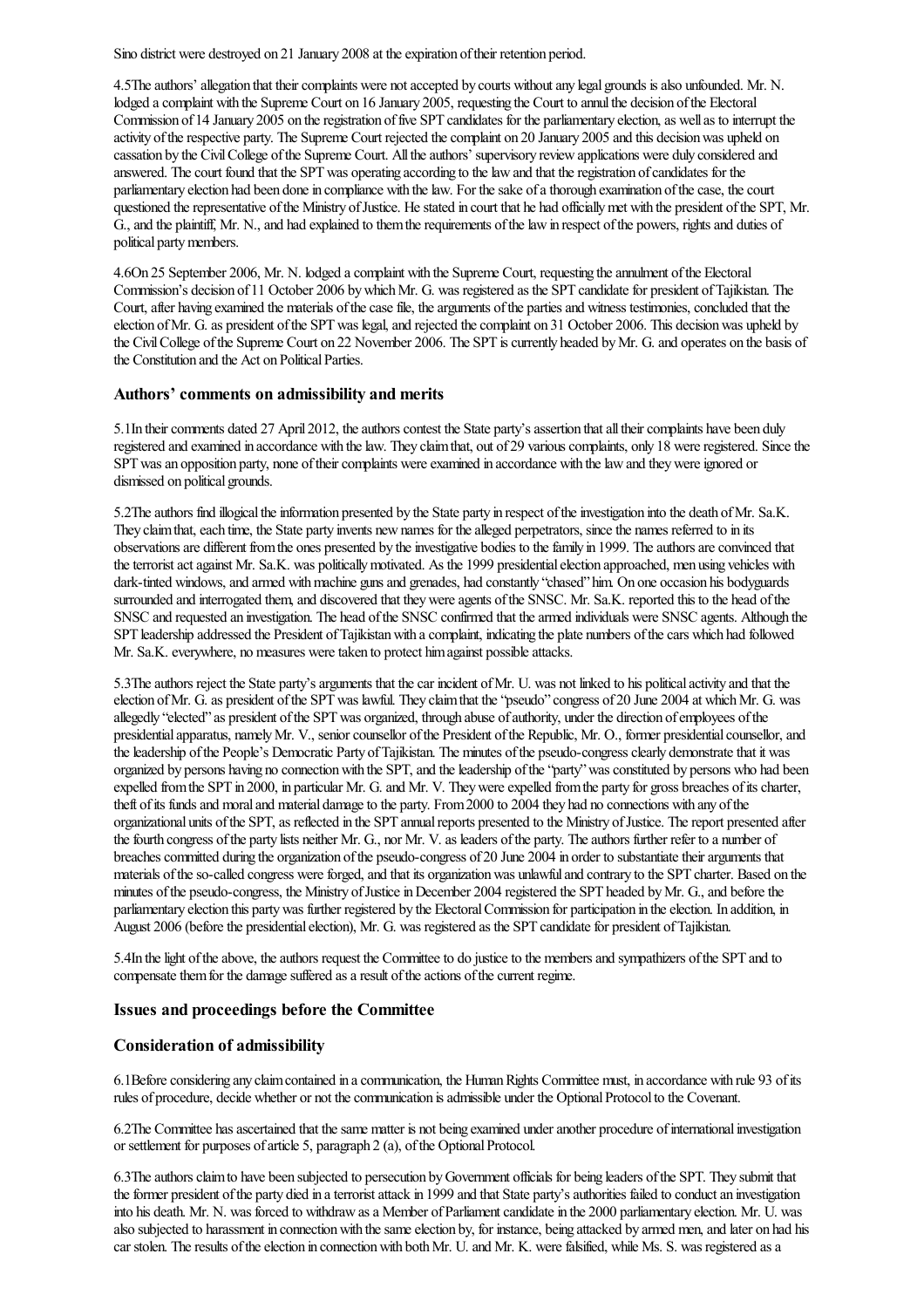Sino district were destroyed on 21 January 2008 at the expiration of their retention period.

4.5The authors' allegation that their complaints were not accepted by courts without any legal grounds is also unfounded. Mr. N. lodged a complaint with the Supreme Court on 16 January 2005, requesting the Court to annul the decision of the Electoral Commission of 14 January 2005 on the registration of five SPT candidates for the parliamentary election, as well as to interrupt the activity of the respective party. The Supreme Court rejected the complaint on 20 January 2005 and this decision was upheld on cassation by the CivilCollege ofthe Supreme Court. Alltheauthors' supervisory reviewapplications were duly considered and answered. The court found that the SPT was operating according to the law and that the registration of candidates for the parliamentary election had been done in compliance with the law. For the sake of a thorough examination of the case, the court questioned the representative of the Ministry of Justice. He stated in court that he had officially met with the president of the SPT, Mr. G., and the plaintiff, Mr. N., and had explained to them the requirements of the law in respect of the powers, rights and duties of political party members.

4.6On 25 September 2006, Mr. N. lodged acomplaint with the Supreme Court, requesting theannulment ofthe Electoral Commission's decision of 11 October 2006 by which Mr. G. was registered as the SPT candidate for president of Tajikistan. The Court, after having examined the materials of the case file, the arguments of the parties and witness testimonies, concluded that the election of Mr. G. as president of the SPT was legal, and rejected the complaint on 31 October 2006. This decision was upheld by the Civil College of the Supreme Court on 22 November 2006. The SPT is currently headed by Mr. G. and operates on the basis of the Constitution and the Act on Political Parties.

#### Authors' comments on admissibility and merits

5.1In their comments dated 27 April 2012, the authors contest the State party's assertion that all their complaints have been duly registered and examined in accordance with the law. They claim that, out of 29 various complaints, only 18 were registered. Since the SPT was an opposition party, none of their complaints were examined in accordance with the law and they were ignored or dismissed on political grounds.

5.2The authors find illogical the information presented by the State party in respect of the investigation into the death of Mr. Sa.K. They claim that, each time, the State party invents new names for the alleged perpetrators, since the names referred to in its observations are different from the ones presented by the investigative bodies to the family in 1999. The authors are convinced that the terrorist act against Mr. Sa.K. was politically motivated. As the 1999 presidential election approached, men using vehicles with dark-tinted windows, and armed with machine guns and grenades, had constantly "chased" him. On one occasion his bodyguards surrounded and interrogated them, and discovered that they were agents of the SNSC. Mr. Sa.K. reported this to the head of the SNSC and requested an investigation. The head of the SNSC confirmed that the armed individuals were SNSC agents. Although the SPT leadership addressed the President ofTajikistanwith acomplaint, indicating the plate numbers ofthecars which had followed Mr. Sa.K. everywhere, no measures were taken to protect him against possible attacks.

5.3The authors reject the State party's arguments that the car incident of Mr. U. was not linked to his political activity and that the election of Mr. G. as president of the SPT was lawful. They claim that the "pseudo" congress of 20 June 2004 at which Mr. G. was allegedly "elected" as president of the SPT was organized, through abuse of authority, under the direction of employees of the presidential apparatus, namely Mr. V., senior counsellor of the President of the Republic, Mr. O., former presidential counsellor, and the leadership of the People's Democratic Party of Tajikistan. The minutes of the pseudo-congress clearly demonstrate that it was organized by persons having no connection with the SPT, and the leadership of the "party" was constituted by persons who had been expelled from the SPT in 2000, in particular Mr. G. and Mr. V. They were expelled from the party for gross breaches of its charter, theft of its funds and moral and material damage to the party. From 2000 to 2004 they had no connections with any of the organizational units of the SPT, as reflected in the SPT annual reports presented to the Ministry of Justice. The report presented after the fourth congress of the party lists neither Mr. G., nor Mr. V. as leaders of the party. The authors further refer to a number of breaches committed during the organization of the pseudo-congress of 20 June 2004 in order to substantiate their arguments that materials of the so-called congress were forged, and that its organization was unlawful and contrary to the SPT charter. Based on the minutes of the pseudo-congress, the Ministry of Justice in December 2004 registered the SPT headed by Mr. G., and before the parliamentary election this party was further registered by the Electoral Commission for participation in the election. In addition, in August 2006 (before the presidential election), Mr. G. was registered as the SPT candidate for president of Tajikistan.

5.4In the light of the above, the authors request the Committee to do justice to the members and sympathizers of the SPT and to compensate them for the damage suffered as a result of the actions of the current regime.

#### Issues and proceedings before the Committee

#### Consideration of admissibility

6.1Beforeconsidering any claimcontained in acommunication, the HumanRights Committee must, in accordance with rule 93 ofits rules of procedure, decide whether or not the communication is admissible under the Optional Protocol to the Covenant.

6.2The Committee has ascertained that the same matter is not being examined under another procedure of international investigation or settlement for purposes of article 5, paragraph 2 (a), of the Optional Protocol.

6.3The authors claim to have been subjected to persecution by Government officials for being leaders of the SPT. They submit that the former president of the party died in a terrorist attack in 1999 and that State party's authorities failed to conduct an investigation into his death. Mr. N. was forced to withdraw as a Member of Parliament candidate in the 2000 parliamentary election. Mr. U. was also subjected to harassment in connection with the same election by, for instance, being attacked by armed men, and later on had his car stolen. The results of the election in connection with both Mr. U. and Mr. K. were falsified, while Ms. S. was registered as a